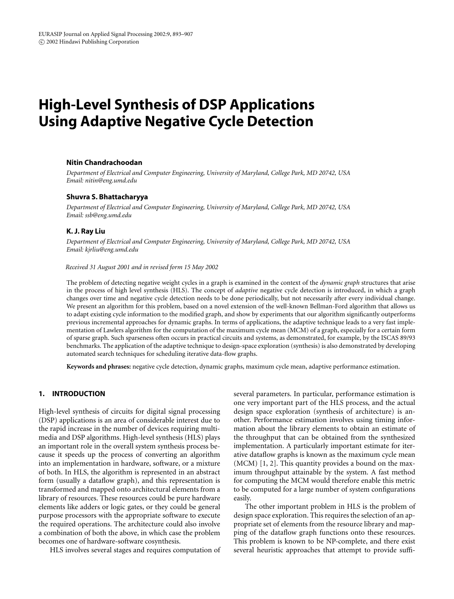# **High-Level Synthesis of DSP Applications Using Adaptive Negative Cycle Detection**

## **Nitin Chandrachoodan**

*Department of Electrical and Computer Engineering, University of Maryland, College Park, MD 20742, USA Email: [nitin@eng.umd.edu](mailto:nitin@eng.umd.edu)*

### **Shuvra S. Bhattacharyya**

*Department of Electrical and Computer Engineering, University of Maryland, College Park, MD 20742, USA Email: [ssb@eng.umd.edu](mailto:ssb@eng.umd.edu)*

## **K. J. Ray Liu**

*Department of Electrical and Computer Engineering, University of Maryland, College Park, MD 20742, USA Email: [kjrliu@eng.umd.edu](mailto:kjrliu@eng.umd.edu)*

#### *Received 31 August 2001 and in revised form 15 May 2002*

The problem of detecting negative weight cycles in a graph is examined in the context of the *dynamic graph* structures that arise in the process of high level synthesis (HLS). The concept of *adaptive* negative cycle detection is introduced, in which a graph changes over time and negative cycle detection needs to be done periodically, but not necessarily after every individual change. We present an algorithm for this problem, based on a novel extension of the well-known Bellman-Ford algorithm that allows us to adapt existing cycle information to the modified graph, and show by experiments that our algorithm significantly outperforms previous incremental approaches for dynamic graphs. In terms of applications, the adaptive technique leads to a very fast implementation of Lawlers algorithm for the computation of the maximum cycle mean (MCM) of a graph, especially for a certain form of sparse graph. Such sparseness often occurs in practical circuits and systems, as demonstrated, for example, by the ISCAS 89/93 benchmarks. The application of the adaptive technique to design-space exploration (synthesis) is also demonstrated by developing automated search techniques for scheduling iterative data-flow graphs.

**Keywords and phrases:** negative cycle detection, dynamic graphs, maximum cycle mean, adaptive performance estimation.

# <span id="page-0-0"></span>**1. INTRODUCTION**

High-level synthesis of circuits for digital signal processing (DSP) applications is an area of considerable interest due to the rapid increase in the number of devices requiring multimedia and DSP algorithms. High-level synthesis (HLS) plays an important role in the overall system synthesis process because it speeds up the process of converting an algorithm into an implementation in hardware, software, or a mixture of both. In HLS, the algorithm is represented in an abstract form (usually a dataflow graph), and this representation is transformed and mapped onto architectural elements from a library of resources. These resources could be pure hardware elements like adders or logic gates, or they could be general purpose processors with the appropriate software to execute the required operations. The architecture could also involve a combination of both the above, in which case the problem becomes one of hardware-software cosynthesis.

HLS involves several stages and requires computation of

several parameters. In particular, performance estimation is one very important part of the HLS process, and the actual design space exploration (synthesis of architecture) is another. Performance estimation involves using timing information about the library elements to obtain an estimate of the throughput that can be obtained from the synthesized implementation. A particularly important estimate for iterative dataflow graphs is known as the maximum cycle mean (MCM) [\[1,](#page-13-0) [2\]](#page-13-1). This quantity provides a bound on the maximum throughput attainable by the system. A fast method for computing the MCM would therefore enable this metric to be computed for a large number of system configurations easily.

The other important problem in HLS is the problem of design space exploration. This requires the selection of an appropriate set of elements from the resource library and mapping of the dataflow graph functions onto these resources. This problem is known to be NP-complete, and there exist several heuristic approaches that attempt to provide suffi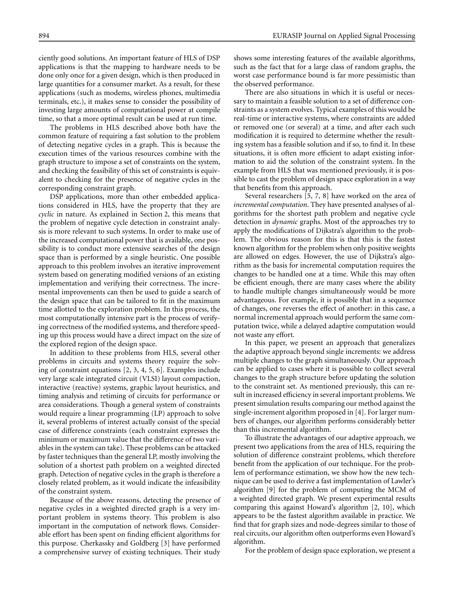ciently good solutions. An important feature of HLS of DSP applications is that the mapping to hardware needs to be done only once for a given design, which is then produced in large quantities for a consumer market. As a result, for these applications (such as modems, wireless phones, multimedia terminals, etc.), it makes sense to consider the possibility of investing large amounts of computational power at compile time, so that a more optimal result can be used at run time.

The problems in HLS described above both have the common feature of requiring a fast solution to the problem of detecting negative cycles in a graph. This is because the execution times of the various resources combine with the graph structure to impose a set of constraints on the system, and checking the feasibility of this set of constraints is equivalent to checking for the presence of negative cycles in the corresponding constraint graph.

DSP applications, more than other embedded applications considered in HLS, have the property that they are *cyclic* in nature. As explained in [Section 2,](#page-2-0) this means that the problem of negative cycle detection in constraint analysis is more relevant to such systems. In order to make use of the increased computational power that is available, one possibility is to conduct more extensive searches of the design space than is performed by a single heuristic. One possible approach to this problem involves an iterative improvement system based on generating modified versions of an existing implementation and verifying their correctness. The incremental improvements can then be used to guide a search of the design space that can be tailored to fit in the maximum time allotted to the exploration problem. In this process, the most computationally intensive part is the process of verifying correctness of the modified systems, and therefore speeding up this process would have a direct impact on the size of the explored region of the design space.

In addition to these problems from HLS, several other problems in circuits and systems theory require the solving of constraint equations [\[2](#page-13-1), [3](#page-13-2), [4](#page-13-3), [5](#page-13-4), [6](#page-13-5)]. Examples include very large scale integrated circuit (VLSI) layout compaction, interactive (reactive) systems, graphic layout heuristics, and timing analysis and retiming of circuits for performance or area considerations. Though a general system of constraints would require a linear programming (LP) approach to solve it, several problems of interest actually consist of the special case of difference constraints (each constraint expresses the minimum or maximum value that the difference of two variables in the system can take). These problems can be attacked by faster techniques than the general LP, mostly involving the solution of a shortest path problem on a weighted directed graph. Detection of negative cycles in the graph is therefore a closely related problem, as it would indicate the infeasibility of the constraint system.

Because of the above reasons, detecting the presence of negative cycles in a weighted directed graph is a very important problem in systems theory. This problem is also important in the computation of network flows. Considerable effort has been spent on finding efficient algorithms for this purpose. Cherkassky and Goldberg [\[3](#page-13-2)] have performed a comprehensive survey of existing techniques. Their study

shows some interesting features of the available algorithms, such as the fact that for a large class of random graphs, the worst case performance bound is far more pessimistic than the observed performance.

There are also situations in which it is useful or necessary to maintain a feasible solution to a set of difference constraints as a system evolves. Typical examples of this would be real-time or interactive systems, where constraints are added or removed one (or several) at a time, and after each such modification it is required to determine whether the resulting system has a feasible solution and if so, to find it. In these situations, it is often more efficient to adapt existing information to aid the solution of the constraint system. In the example from HLS that was mentioned previously, it is possible to cast the problem of design space exploration in a way that benefits from this approach.

Several researchers [\[5,](#page-13-4) [7](#page-13-6), [8](#page-13-7)] have worked on the area of *incremental computation*. They have presented analyses of algorithms for the shortest path problem and negative cycle detection in *dynamic* graphs. Most of the approaches try to apply the modifications of Dijkstra's algorithm to the problem. The obvious reason for this is that this is the fastest known algorithm for the problem when only positive weights are allowed on edges. However, the use of Dijkstra's algorithm as the basis for incremental computation requires the changes to be handled one at a time. While this may often be efficient enough, there are many cases where the ability to handle multiple changes simultaneously would be more advantageous. For example, it is possible that in a sequence of changes, one reverses the effect of another: in this case, a normal incremental approach would perform the same computation twice, while a delayed adaptive computation would not waste any effort.

In this paper, we present an approach that generalizes the adaptive approach beyond single increments: we address multiple changes to the graph simultaneously. Our approach can be applied to cases where it is possible to collect several changes to the graph structure before updating the solution to the constraint set. As mentioned previously, this can result in increased efficiency in several important problems. We present simulation results comparing our method against the single-increment algorithm proposed in [\[4\]](#page-13-3). For larger numbers of changes, our algorithm performs considerably better than this incremental algorithm.

To illustrate the advantages of our adaptive approach, we present two applications from the area of HLS, requiring the solution of difference constraint problems, which therefore benefit from the application of our technique. For the problem of performance estimation, we show how the new technique can be used to derive a fast implementation of Lawler's algorithm [\[9\]](#page-13-8) for the problem of computing the MCM of a weighted directed graph. We present experimental results comparing this against Howard's algorithm [\[2](#page-13-1), [10](#page-13-9)], which appears to be the fastest algorithm available in practice. We find that for graph sizes and node-degrees similar to those of real circuits, our algorithm often outperforms even Howard's algorithm.

For the problem of design space exploration, we present a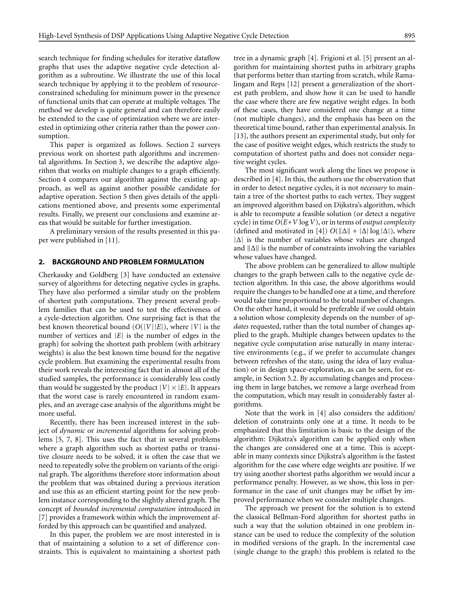search technique for finding schedules for iterative dataflow graphs that uses the adaptive negative cycle detection algorithm as a subroutine. We illustrate the use of this local search technique by applying it to the problem of resourceconstrained scheduling for minimum power in the presence of functional units that can operate at multiple voltages. The method we develop is quite general and can therefore easily be extended to the case of optimization where we are interested in optimizing other criteria rather than the power consumption.

This paper is organized as follows. [Section 2](#page-2-0) surveys previous work on shortest path algorithms and incremental algorithms. In [Section 3,](#page-3-0) we describe the adaptive algorithm that works on multiple changes to a graph efficiently. [Section 4](#page-6-0) compares our algorithm against the existing approach, as well as against another possible candidate for adaptive operation. [Section 5](#page-8-0) then gives details of the applications mentioned above, and presents some experimental results. Finally, we present our conclusions and examine areas that would be suitable for further investigation.

A preliminary version of the results presented in this paper were published in [\[11](#page-13-10)].

# <span id="page-2-0"></span>**2. BACKGROUND AND PROBLEM FORMULATION**

Cherkassky and Goldberg [\[3\]](#page-13-2) have conducted an extensive survey of algorithms for detecting negative cycles in graphs. They have also performed a similar study on the problem of shortest path computations. They present several problem families that can be used to test the effectiveness of a cycle-detection algorithm. One surprising fact is that the best known theoretical bound (*O*(|*V*||*E*|), where |*V*| is the number of vertices and |*E*| is the number of edges in the graph) for solving the shortest path problem (with arbitrary weights) is also the best known time bound for the negative cycle problem. But examining the experimental results from their work reveals the interesting fact that in almost all of the studied samples, the performance is considerably less costly than would be suggested by the product  $|V| \times |E|$ . It appears that the worst case is rarely encountered in random examples, and an average case analysis of the algorithms might be more useful.

Recently, there has been increased interest in the subject of *dynamic* or *incremental* algorithms for solving problems [\[5,](#page-13-4) [7,](#page-13-6) [8\]](#page-13-7). This uses the fact that in several problems where a graph algorithm such as shortest paths or transitive closure needs to be solved, it is often the case that we need to repeatedly solve the problem on variants of the original graph. The algorithms therefore store information about the problem that was obtained during a previous iteration and use this as an efficient starting point for the new problem instance corresponding to the slightly altered graph. The concept of *bounded incremental computation* introduced in [\[7](#page-13-6)] provides a framework within which the improvement afforded by this approach can be quantified and analyzed.

In this paper, the problem we are most interested in is that of maintaining a solution to a set of difference constraints. This is equivalent to maintaining a shortest path

tree in a dynamic graph [\[4](#page-13-3)]. Frigioni et al. [\[5](#page-13-4)] present an algorithm for maintaining shortest paths in arbitrary graphs that performs better than starting from scratch, while Ramalingam and Reps [\[12\]](#page-13-11) present a generalization of the shortest path problem, and show how it can be used to handle the case where there are few negative weight edges. In both of these cases, they have considered one change at a time (not multiple changes), and the emphasis has been on the theoretical time bound, rather than experimental analysis. In [\[13](#page-13-12)], the authors present an experimental study, but only for the case of positive weight edges, which restricts the study to computation of shortest paths and does not consider negative weight cycles.

The most significant work along the lines we propose is described in [\[4](#page-13-3)]. In this, the authors use the observation that in order to detect negative cycles, it is not *necessary* to maintain a tree of the shortest paths to each vertex. They suggest an improved algorithm based on Dijkstra's algorithm, which is able to recompute a feasible solution (or detect a negative cycle) in time *O*(*E*+*V* log*V*), or in terms of *output complexity* (defined and motivated in [\[4\]](#page-13-3))  $O(||\Delta|| + |\Delta| \log |\Delta|)$ , where |∆| is the number of variables whose values are changed and  $\|\Delta\|$  is the number of constraints involving the variables whose values have changed.

The above problem can be generalized to allow multiple changes to the graph between calls to the negative cycle detection algorithm. In this case, the above algorithms would require the changes to be handled one at a time, and therefore would take time proportional to the total number of changes. On the other hand, it would be preferable if we could obtain a solution whose complexity depends on the number of *updates* requested, rather than the total number of changes applied to the graph. Multiple changes between updates to the negative cycle computation arise naturally in many interactive environments (e.g., if we prefer to accumulate changes between refreshes of the state, using the idea of lazy evaluation) or in design space-exploration, as can be seen, for example, in [Section 5.2.](#page-11-0) By accumulating changes and processing them in large batches, we remove a large overhead from the computation, which may result in considerably faster algorithms.

Note that the work in [\[4\]](#page-13-3) also considers the addition/ deletion of constraints only one at a time. It needs to be emphasized that this limitation is basic to the design of the algorithm: Dijkstra's algorithm can be applied only when the changes are considered one at a time. This is acceptable in many contexts since Dijkstra's algorithm is the fastest algorithm for the case where edge weights are positive. If we try using another shortest paths algorithm we would incur a performance penalty. However, as we show, this loss in performance in the case of unit changes may be offset by improved performance when we consider multiple changes.

The approach we present for the solution is to extend the classical Bellman-Ford algorithm for shortest paths in such a way that the solution obtained in one problem instance can be used to reduce the complexity of the solution in modified versions of the graph. In the incremental case (single change to the graph) this problem is related to the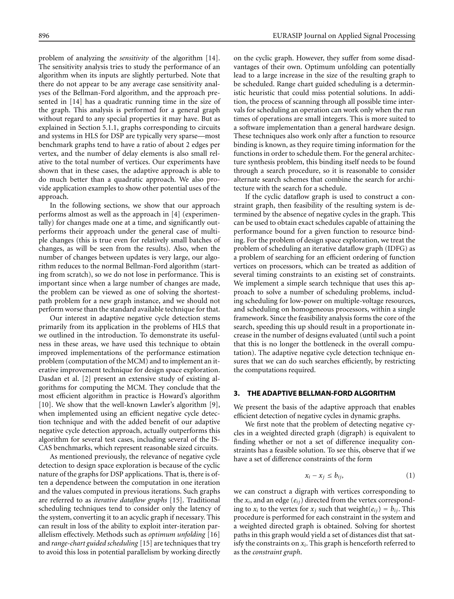problem of analyzing the *sensitivity* of the algorithm [\[14\]](#page-13-13). The sensitivity analysis tries to study the performance of an algorithm when its inputs are slightly perturbed. Note that there do not appear to be any average case sensitivity analyses of the Bellman-Ford algorithm, and the approach presented in [\[14](#page-13-13)] has a quadratic running time in the size of the graph. This analysis is performed for a general graph without regard to any special properties it may have. But as explained in [Section 5.1.1,](#page-8-1) graphs corresponding to circuits and systems in HLS for DSP are typically very sparse—most benchmark graphs tend to have a ratio of about 2 edges per vertex, and the number of delay elements is also small relative to the total number of vertices. Our experiments have shown that in these cases, the adaptive approach is able to do much better than a quadratic approach. We also provide application examples to show other potential uses of the approach.

In the following sections, we show that our approach performs almost as well as the approach in [\[4\]](#page-13-3) (experimentally) for changes made one at a time, and significantly outperforms their approach under the general case of multiple changes (this is true even for relatively small batches of changes, as will be seen from the results). Also, when the number of changes between updates is very large, our algorithm reduces to the normal Bellman-Ford algorithm (starting from scratch), so we do not lose in performance. This is important since when a large number of changes are made, the problem can be viewed as one of solving the shortestpath problem for a new graph instance, and we should not perform worse than the standard available technique for that.

Our interest in adaptive negative cycle detection stems primarily from its application in the problems of HLS that we outlined in the introduction. To demonstrate its usefulness in these areas, we have used this technique to obtain improved implementations of the performance estimation problem (computation of the MCM) and to implement an iterative improvement technique for design space exploration. Dasdan et al. [\[2\]](#page-13-1) present an extensive study of existing algorithms for computing the MCM. They conclude that the most efficient algorithm in practice is Howard's algorithm [\[10](#page-13-9)]. We show that the well-known Lawler's algorithm [\[9\]](#page-13-8), when implemented using an efficient negative cycle detection technique and with the added benefit of our adaptive negative cycle detection approach, actually outperforms this algorithm for several test cases, including several of the IS-CAS benchmarks, which represent reasonable sized circuits.

As mentioned previously, the relevance of negative cycle detection to design space exploration is because of the cyclic nature of the graphs for DSP applications. That is, there is often a dependence between the computation in one iteration and the values computed in previous iterations. Such graphs are referred to as *iterative dataflow graphs* [\[15](#page-13-14)]. Traditional scheduling techniques tend to consider only the latency of the system, converting it to an acyclic graph if necessary. This can result in loss of the ability to exploit inter-iteration parallelism effectively. Methods such as *optimum unfolding* [\[16](#page-13-15)] and *range-chart guided scheduling* [\[15\]](#page-13-14) are techniques that try to avoid this loss in potential parallelism by working directly

on the cyclic graph. However, they suffer from some disadvantages of their own. Optimum unfolding can potentially lead to a large increase in the size of the resulting graph to be scheduled. Range chart guided scheduling is a deterministic heuristic that could miss potential solutions. In addition, the process of scanning through all possible time intervals for scheduling an operation can work only when the run times of operations are small integers. This is more suited to a software implementation than a general hardware design. These techniques also work only after a function to resource binding is known, as they require timing information for the functions in order to schedule them. For the general architecture synthesis problem, this binding itself needs to be found through a search procedure, so it is reasonable to consider alternate search schemes that combine the search for architecture with the search for a schedule.

If the cyclic dataflow graph is used to construct a constraint graph, then feasibility of the resulting system is determined by the absence of negative cycles in the graph. This can be used to obtain exact schedules capable of attaining the performance bound for a given function to resource binding. For the problem of design space exploration, we treat the problem of scheduling an iterative dataflow graph (IDFG) as a problem of searching for an efficient ordering of function vertices on processors, which can be treated as addition of several timing constraints to an existing set of constraints. We implement a simple search technique that uses this approach to solve a number of scheduling problems, including scheduling for low-power on multiple-voltage resources, and scheduling on homogeneous processors, within a single framework. Since the feasibility analysis forms the core of the search, speeding this up should result in a proportionate increase in the number of designs evaluated (until such a point that this is no longer the bottleneck in the overall computation). The adaptive negative cycle detection technique ensures that we can do such searches efficiently, by restricting the computations required.

# <span id="page-3-0"></span>**3. THE ADAPTIVE BELLMAN-FORD ALGORITHM**

We present the basis of the adaptive approach that enables efficient detection of negative cycles in dynamic graphs.

We first note that the problem of detecting negative cycles in a weighted directed graph (digraph) is equivalent to finding whether or not a set of difference inequality constraints has a feasible solution. To see this, observe that if we have a set of difference constraints of the form

$$
x_i - x_j \le b_{ij}, \tag{1}
$$

we can construct a digraph with vertices corresponding to the  $x_i$ , and an edge  $(e_{ij})$  directed from the vertex corresponding to  $x_i$  to the vertex for  $x_j$  such that weight( $e_{ij}$ ) =  $b_{ij}$ . This procedure is performed for each constraint in the system and a weighted directed graph is obtained. Solving for shortest paths in this graph would yield a set of distances dist that satisfy the constraints on *x<sup>i</sup>* . This graph is henceforth referred to as the *constraint graph*.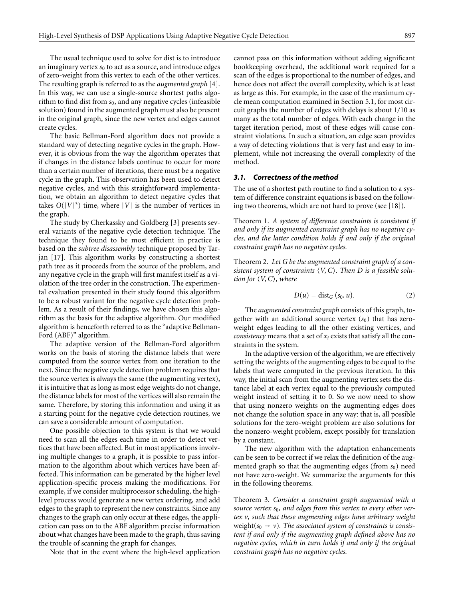The usual technique used to solve for dist is to introduce an imaginary vertex  $s_0$  to act as a source, and introduce edges of zero-weight from this vertex to each of the other vertices. The resulting graph is referred to as the *augmented graph* [\[4\]](#page-13-3). In this way, we can use a single-source shortest paths algorithm to find dist from  $s_0$ , and any negative cycles (infeasible solution) found in the augmented graph must also be present in the original graph, since the new vertex and edges cannot create cycles.

The basic Bellman-Ford algorithm does not provide a standard way of detecting negative cycles in the graph. However, it is obvious from the way the algorithm operates that if changes in the distance labels continue to occur for more than a certain number of iterations, there must be a negative cycle in the graph. This observation has been used to detect negative cycles, and with this straightforward implementation, we obtain an algorithm to detect negative cycles that takes  $O(|V|^3)$  time, where  $|V|$  is the number of vertices in the graph.

The study by Cherkassky and Goldberg [\[3\]](#page-13-2) presents several variants of the negative cycle detection technique. The technique they found to be most efficient in practice is based on the *subtree disassembly* technique proposed by Tarjan [\[17\]](#page-13-16). This algorithm works by constructing a shortest path tree as it proceeds from the source of the problem, and any negative cycle in the graph will first manifest itself as a violation of the tree order in the construction. The experimental evaluation presented in their study found this algorithm to be a robust variant for the negative cycle detection problem. As a result of their findings, we have chosen this algorithm as the basis for the adaptive algorithm. Our modified algorithm is henceforth referred to as the "adaptive Bellman-Ford (ABF)" algorithm.

The adaptive version of the Bellman-Ford algorithm works on the basis of storing the distance labels that were computed from the source vertex from one iteration to the next. Since the negative cycle detection problem requires that the source vertex is always the same (the augmenting vertex), it is intuitive that as long as most edge weights do not change, the distance labels for most of the vertices will also remain the same. Therefore, by storing this information and using it as a starting point for the negative cycle detection routines, we can save a considerable amount of computation.

One possible objection to this system is that we would need to scan all the edges each time in order to detect vertices that have been affected. But in most applications involving multiple changes to a graph, it is possible to pass information to the algorithm about which vertices have been affected. This information can be generated by the higher level application-specific process making the modifications. For example, if we consider multiprocessor scheduling, the highlevel process would generate a new vertex ordering, and add edges to the graph to represent the new constraints. Since any changes to the graph can only occur at these edges, the application can pass on to the ABF algorithm precise information about what changes have been made to the graph, thus saving the trouble of scanning the graph for changes.

Note that in the event where the high-level application

cannot pass on this information without adding significant bookkeeping overhead, the additional work required for a scan of the edges is proportional to the number of edges, and hence does not affect the overall complexity, which is at least as large as this. For example, in the case of the maximum cycle mean computation examined in [Section 5.1,](#page-8-2) for most circuit graphs the number of edges with delays is about 1*/*10 as many as the total number of edges. With each change in the target iteration period, most of these edges will cause constraint violations. In such a situation, an edge scan provides a way of detecting violations that is very fast and easy to implement, while not increasing the overall complexity of the method.

### *3.1. Correctness of the method*

The use of a shortest path routine to find a solution to a system of difference constraint equations is based on the following two theorems, which are not hard to prove (see [\[18\]](#page-13-17)).

<span id="page-4-0"></span>Theorem 1. *A system of difference constraints is consistent if and only if its augmented constraint graph has no negative cycles, and the latter condition holds if and only if the original constraint graph has no negative cycles.*

Theorem 2. *Let G be the augmented constraint graph of a consistent system of constraints V, C. Then D is a feasible solution for V, C, where*

$$
D(u) = \text{dist}_G(s_0, u). \tag{2}
$$

The *augmented constraint graph* consists of this graph, together with an additional source vertex  $(s_0)$  that has zeroweight edges leading to all the other existing vertices, and *consistency* means that a set of *x<sup>i</sup>* exists that satisfy all the constraints in the system.

In the adaptive version of the algorithm, we are effectively setting the weights of the augmenting edges to be equal to the labels that were computed in the previous iteration. In this way, the initial scan from the augmenting vertex sets the distance label at each vertex equal to the previously computed weight instead of setting it to 0. So we now need to show that using nonzero weights on the augmenting edges does not change the solution space in any way: that is, all possible solutions for the zero-weight problem are also solutions for the nonzero-weight problem, except possibly for translation by a constant.

The new algorithm with the adaptation enhancements can be seen to be correct if we relax the definition of the augmented graph so that the augmenting edges (from  $s<sub>0</sub>$ ) need not have zero-weight. We summarize the arguments for this in the following theorems.

Theorem 3. *Consider a constraint graph augmented with a source vertex s*0*, and edges from this vertex to every other vertex v, such that these augmenting edges have arbitrary weight* weight( $s_0 \rightarrow v$ ). The associated system of constraints is consis*tent if and only if the augmenting graph defined above has no negative cycles, which in turn holds if and only if the original constraint graph has no negative cycles.*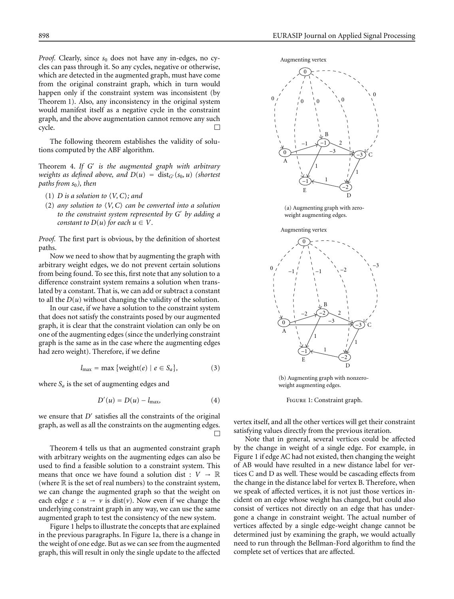*Proof.* Clearly, since *s*<sup>0</sup> does not have any in-edges, no cycles can pass through it. So any cycles, negative or otherwise, which are detected in the augmented graph, must have come from the original constraint graph, which in turn would happen only if the constraint system was inconsistent (by [Theorem 1\)](#page-4-0). Also, any inconsistency in the original system would manifest itself as a negative cycle in the constraint graph, and the above augmentation cannot remove any such cycle. П

<span id="page-5-0"></span>The following theorem establishes the validity of solutions computed by the ABF algorithm.

Theorem 4. *If G*′ *is the augmented graph with arbitrary weights as defined above, and*  $D(u) = \text{dist}_{G'}(s_0, u)$  *(shortest*) *paths from s*0*), then*

- (1) *D* is a solution to  $\langle V, C \rangle$ ; and
- (2) *any solution to V, C can be converted into a solution to the constraint system represented by G*′ *by adding a constant to*  $D(u)$  *for each*  $u \in V$ *.*

*Proof.* The first part is obvious, by the definition of shortest paths.

Now we need to show that by augmenting the graph with arbitrary weight edges, we do not prevent certain solutions from being found. To see this, first note that any solution to a difference constraint system remains a solution when translated by a constant. That is, we can add or subtract a constant to all the  $D(u)$  without changing the validity of the solution.

In our case, if we have a solution to the constraint system that does not satisfy the constraints posed by our augmented graph, it is clear that the constraint violation can only be on one of the augmenting edges (since the underlying constraint graph is the same as in the case where the augmenting edges had zero weight). Therefore, if we define

$$
l_{\max} = \max \{ \text{weight}(e) \mid e \in S_a \},\tag{3}
$$

where  $S_a$  is the set of augmenting edges and

$$
D'(u) = D(u) - l_{\text{max}}, \tag{4}
$$

we ensure that *D*′ satisfies all the constraints of the original graph, as well as all the constraints on the augmenting edges.  $\Box$ 

[Theorem 4](#page-5-0) tells us that an augmented constraint graph with arbitrary weights on the augmenting edges can also be used to find a feasible solution to a constraint system. This means that once we have found a solution dist :  $V \rightarrow \mathbb{R}$ (where  $\mathbb R$  is the set of real numbers) to the constraint system, we can change the augmented graph so that the weight on each edge  $e : u \rightarrow v$  is dist(*v*). Now even if we change the underlying constraint graph in any way, we can use the same augmented graph to test the consistency of the new system.

[Figure 1](#page-5-1) helps to illustrate the concepts that are explained in the previous paragraphs. In [Figure 1a,](#page-5-2) there is a change in the weight of one edge. But as we can see from the augmented graph, this will result in only the single update to the affected

<span id="page-5-2"></span>

(a) Augmenting graph with zeroweight augmenting edges.





(b) Augmenting graph with nonzeroweight augmenting edges.

<span id="page-5-1"></span>Figure 1: Constraint graph.

vertex itself, and all the other vertices will get their constraint satisfying values directly from the previous iteration.

Note that in general, several vertices could be affected by the change in weight of a single edge. For example, in [Figure 1](#page-5-1) if edge AC had not existed, then changing the weight of AB would have resulted in a new distance label for vertices C and D as well. These would be cascading effects from the change in the distance label for vertex B. Therefore, when we speak of affected vertices, it is not just those vertices incident on an edge whose weight has changed, but could also consist of vertices not directly on an edge that has undergone a change in constraint weight. The actual number of vertices affected by a single edge-weight change cannot be determined just by examining the graph, we would actually need to run through the Bellman-Ford algorithm to find the complete set of vertices that are affected.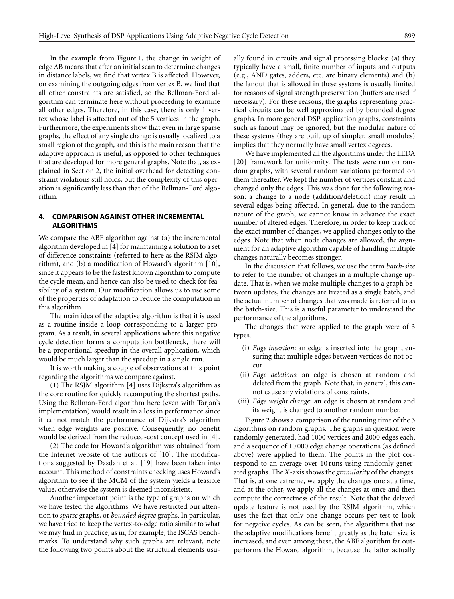In the example from [Figure 1,](#page-5-1) the change in weight of edge AB means that after an initial scan to determine changes in distance labels, we find that vertex B is affected. However, on examining the outgoing edges from vertex B, we find that all other constraints are satisfied, so the Bellman-Ford algorithm can terminate here without proceeding to examine all other edges. Therefore, in this case, there is only 1 vertex whose label is affected out of the 5 vertices in the graph. Furthermore, the experiments show that even in large sparse graphs, the effect of any single change is usually localized to a small region of the graph, and this is the main reason that the adaptive approach is useful, as opposed to other techniques that are developed for more general graphs. Note that, as explained in [Section 2,](#page-2-0) the initial overhead for detecting constraint violations still holds, but the complexity of this operation is significantly less than that of the Bellman-Ford algorithm.

# <span id="page-6-0"></span>**4. COMPARISON AGAINST OTHER INCREMENTAL ALGORITHMS**

We compare the ABF algorithm against (a) the incremental algorithm developed in [\[4](#page-13-3)] for maintaining a solution to a set of difference constraints (referred to here as the RSJM algorithm), and (b) a modification of Howard's algorithm [\[10\]](#page-13-9), since it appears to be the fastest known algorithm to compute the cycle mean, and hence can also be used to check for feasibility of a system. Our modification allows us to use some of the properties of adaptation to reduce the computation in this algorithm.

The main idea of the adaptive algorithm is that it is used as a routine inside a loop corresponding to a larger program. As a result, in several applications where this negative cycle detection forms a computation bottleneck, there will be a proportional speedup in the overall application, which would be much larger than the speedup in a single run.

It is worth making a couple of observations at this point regarding the algorithms we compare against.

(1) The RSJM algorithm [\[4](#page-13-3)] uses Dijkstra's algorithm as the core routine for quickly recomputing the shortest paths. Using the Bellman-Ford algorithm here (even with Tarjan's implementation) would result in a loss in performance since it cannot match the performance of Dijkstra's algorithm when edge weights are positive. Consequently, no benefit would be derived from the reduced-cost concept used in [\[4\]](#page-13-3).

(2) The code for Howard's algorithm was obtained from the Internet website of the authors of [\[10](#page-13-9)]. The modifications suggested by Dasdan et al. [\[19\]](#page-13-18) have been taken into account. This method of constraints checking uses Howard's algorithm to see if the MCM of the system yields a feasible value, otherwise the system is deemed inconsistent.

Another important point is the type of graphs on which we have tested the algorithms. We have restricted our attention to *sparse* graphs, or *bounded degree* graphs. In particular, we have tried to keep the vertex-to-edge ratio similar to what we may find in practice, as in, for example, the ISCAS benchmarks. To understand why such graphs are relevant, note the following two points about the structural elements usually found in circuits and signal processing blocks: (a) they typically have a small, finite number of inputs and outputs (e.g., AND gates, adders, etc. are binary elements) and (b) the fanout that is allowed in these systems is usually limited for reasons of signal strength preservation (buffers are used if necessary). For these reasons, the graphs representing practical circuits can be well approximated by bounded degree graphs. In more general DSP application graphs, constraints such as fanout may be ignored, but the modular nature of these systems (they are built up of simpler, small modules) implies that they normally have small vertex degrees.

We have implemented all the algorithms under the LEDA [\[20](#page-13-19)] framework for uniformity. The tests were run on random graphs, with several random variations performed on them thereafter. We kept the number of vertices constant and changed only the edges. This was done for the following reason: a change to a node (addition/deletion) may result in several edges being affected. In general, due to the random nature of the graph, we cannot know in advance the exact number of altered edges. Therefore, in order to keep track of the exact number of changes, we applied changes only to the edges. Note that when node changes are allowed, the argument for an adaptive algorithm capable of handling multiple changes naturally becomes stronger.

In the discussion that follows, we use the term *batch-size* to refer to the number of changes in a multiple change update. That is, when we make multiple changes to a graph between updates, the changes are treated as a single batch, and the actual number of changes that was made is referred to as the batch-size. This is a useful parameter to understand the performance of the algorithms.

The changes that were applied to the graph were of 3 types.

- (i) *Edge insertion*: an edge is inserted into the graph, ensuring that multiple edges between vertices do not occur.
- (ii) *Edge deletions*: an edge is chosen at random and deleted from the graph. Note that, in general, this cannot cause any violations of constraints.
- (iii) *Edge weight change*: an edge is chosen at random and its weight is changed to another random number.

[Figure 2](#page-7-0) shows a comparison of the running time of the 3 algorithms on random graphs. The graphs in question were randomly generated, had 1000 vertices and 2000 edges each, and a sequence of 10 000 edge change operations (as defined above) were applied to them. The points in the plot correspond to an average over 10 runs using randomly generated graphs. The *X*-axis shows the *granularity* of the changes. That is, at one extreme, we apply the changes one at a time, and at the other, we apply all the changes at once and then compute the correctness of the result. Note that the delayed update feature is not used by the RSJM algorithm, which uses the fact that only one change occurs per test to look for negative cycles. As can be seen, the algorithms that use the adaptive modifications benefit greatly as the batch size is increased, and even among these, the ABF algorithm far outperforms the Howard algorithm, because the latter actually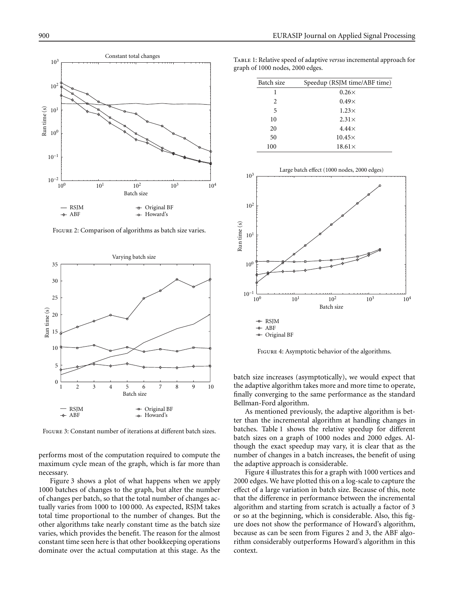

Figure 2: Comparison of algorithms as batch size varies.

<span id="page-7-0"></span>

<span id="page-7-1"></span>Figure 3: Constant number of iterations at different batch sizes.

performs most of the computation required to compute the maximum cycle mean of the graph, which is far more than necessary.

[Figure 3](#page-7-1) shows a plot of what happens when we apply 1000 batches of changes to the graph, but alter the number of changes per batch, so that the total number of changes actually varies from 1000 to 100 000. As expected, RSJM takes total time proportional to the number of changes. But the other algorithms take nearly constant time as the batch size varies, which provides the benefit. The reason for the almost constant time seen here is that other bookkeeping operations dominate over the actual computation at this stage. As the

<span id="page-7-2"></span>Table 1: Relative speed of adaptive *versus* incremental approach for graph of 1000 nodes, 2000 edges.

| Batch size     | Speedup (RSJM time/ABF time) |  |  |  |
|----------------|------------------------------|--|--|--|
|                | $0.26\times$                 |  |  |  |
| $\mathfrak{D}$ | $0.49\times$                 |  |  |  |
| 5              | $1.23\times$                 |  |  |  |
| 10             | $2.31\times$                 |  |  |  |
| 20             | $4.44\times$                 |  |  |  |
| 50             | $10.45\times$                |  |  |  |
| 100            | $18.61\times$                |  |  |  |



Figure 4: Asymptotic behavior of the algorithms.

<span id="page-7-3"></span>batch size increases (asymptotically), we would expect that the adaptive algorithm takes more and more time to operate, finally converging to the same performance as the standard Bellman-Ford algorithm.

As mentioned previously, the adaptive algorithm is better than the incremental algorithm at handling changes in batches. [Table 1](#page-7-2) shows the relative speedup for different batch sizes on a graph of 1000 nodes and 2000 edges. Although the exact speedup may vary, it is clear that as the number of changes in a batch increases, the benefit of using the adaptive approach is considerable.

[Figure 4](#page-7-3) illustrates this for a graph with 1000 vertices and 2000 edges. We have plotted this on a log-scale to capture the effect of a large variation in batch size. Because of this, note that the difference in performance between the incremental algorithm and starting from scratch is actually a factor of 3 or so at the beginning, which is considerable. Also, this figure does not show the performance of Howard's algorithm, because as can be seen from Figures [2](#page-7-0) and [3,](#page-7-1) the ABF algorithm considerably outperforms Howard's algorithm in this context.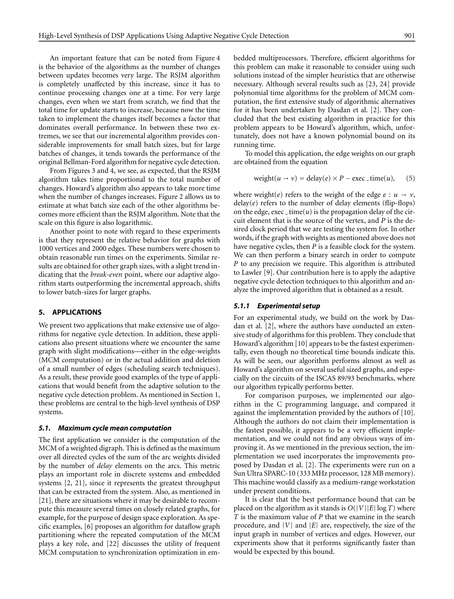An important feature that can be noted from [Figure 4](#page-7-3) is the behavior of the algorithms as the number of changes between updates becomes very large. The RSJM algorithm is completely unaffected by this increase, since it has to continue processing changes one at a time. For very large changes, even when we start from scratch, we find that the total time for update starts to increase, because now the time taken to implement the changes itself becomes a factor that dominates overall performance. In between these two extremes, we see that our incremental algorithm provides considerable improvements for small batch sizes, but for large batches of changes, it tends towards the performance of the original Bellman-Ford algorithm for negative cycle detection.

From Figures [3](#page-7-1) and [4,](#page-7-3) we see, as expected, that the RSJM algorithm takes time proportional to the total number of changes. Howard's algorithm also appears to take more time when the number of changes increases. [Figure 2](#page-7-0) allows us to estimate at what batch size each of the other algorithms becomes more efficient than the RSJM algorithm. Note that the scale on this figure is also logarithmic.

Another point to note with regard to these experiments is that they represent the relative behavior for graphs with 1000 vertices and 2000 edges. These numbers were chosen to obtain reasonable run times on the experiments. Similar results are obtained for other graph sizes, with a slight trend indicating that the *break-even* point, where our adaptive algorithm starts outperforming the incremental approach, shifts to lower batch-sizes for larger graphs.

# <span id="page-8-0"></span>**5. APPLICATIONS**

We present two applications that make extensive use of algorithms for negative cycle detection. In addition, these applications also present situations where we encounter the same graph with slight modifications—either in the edge-weights (MCM computation) or in the actual addition and deletion of a small number of edges (scheduling search techniques). As a result, these provide good examples of the type of applications that would benefit from the adaptive solution to the negative cycle detection problem. As mentioned in [Section 1,](#page-0-0) these problems are central to the high-level synthesis of DSP systems.

## <span id="page-8-2"></span>*5.1. Maximum cycle mean computation*

The first application we consider is the computation of the MCM of a weighted digraph. This is defined as the maximum over all directed cycles of the sum of the arc weights divided by the number of *delay* elements on the arcs. This metric plays an important role in discrete systems and embedded systems [\[2](#page-13-1), [21\]](#page-13-20), since it represents the greatest throughput that can be extracted from the system. Also, as mentioned in [\[21](#page-13-20)], there are situations where it may be desirable to recompute this measure several times on closely related graphs, for example, for the purpose of design space exploration. As specific examples, [\[6\]](#page-13-5) proposes an algorithm for dataflow graph partitioning where the repeated computation of the MCM plays a key role, and [\[22\]](#page-13-21) discusses the utility of frequent MCM computation to synchronization optimization in embedded multiprocessors. Therefore, efficient algorithms for this problem can make it reasonable to consider using such solutions instead of the simpler heuristics that are otherwise necessary. Although several results such as [\[23,](#page-13-22) [24\]](#page-13-23) provide polynomial time algorithms for the problem of MCM computation, the first extensive study of algorithmic alternatives for it has been undertaken by Dasdan et al. [\[2](#page-13-1)]. They concluded that the best existing algorithm in practice for this problem appears to be Howard's algorithm, which, unfortunately, does not have a known polynomial bound on its running time.

To model this application, the edge weights on our graph are obtained from the equation

$$
weight(u \to v) = delay(e) \times P - exec\_time(u), \quad (5)
$$

where weight(*e*) refers to the weight of the edge  $e : u \rightarrow v$ , delay(*e*) refers to the number of delay elements (flip-flops) on the edge, exec  $time(u)$  is the propagation delay of the circuit element that is the source of the vertex, and *P* is the desired clock period that we are testing the system for. In other words, if the graph with weights as mentioned above does not have negative cycles, then *P* is a feasible clock for the system. We can then perform a binary search in order to compute *P* to any precision we require. This algorithm is attributed to Lawler [\[9\]](#page-13-8). Our contribution here is to apply the adaptive negative cycle detection techniques to this algorithm and analyze the improved algorithm that is obtained as a result.

## <span id="page-8-1"></span>*5.1.1 Experimental setup*

For an experimental study, we build on the work by Dasdan et al. [\[2\]](#page-13-1), where the authors have conducted an extensive study of algorithms for this problem. They conclude that Howard's algorithm [\[10](#page-13-9)] appears to be the fastest experimentally, even though no theoretical time bounds indicate this. As will be seen, our algorithm performs almost as well as Howard's algorithm on several useful sized graphs, and especially on the circuits of the ISCAS 89/93 benchmarks, where our algorithm typically performs better.

For comparison purposes, we implemented our algorithm in the C programming language, and compared it against the implementation provided by the authors of [\[10](#page-13-9)]. Although the authors do not claim their implementation is the fastest possible, it appears to be a very efficient implementation, and we could not find any obvious ways of improving it. As we mentioned in the previous section, the implementation we used incorporates the improvements proposed by Dasdan et al. [\[2](#page-13-1)]. The experiments were run on a Sun Ultra SPARC-10 (333 MHz processor, 128 MB memory). This machine would classify as a medium-range workstation under present conditions.

It is clear that the best performance bound that can be placed on the algorithm as it stands is  $O(|V||E|\log T)$  where *T* is the maximum value of *P* that we examine in the search procedure, and |*V*| and |*E*| are, respectively, the size of the input graph in number of vertices and edges. However, our experiments show that it performs significantly faster than would be expected by this bound.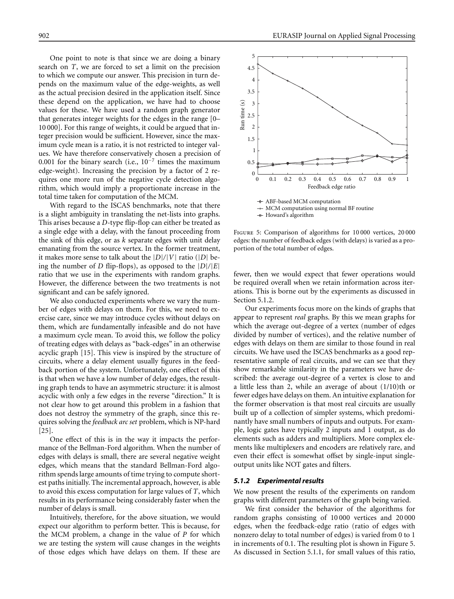One point to note is that since we are doing a binary search on *T*, we are forced to set a limit on the precision to which we compute our answer. This precision in turn depends on the maximum value of the edge-weights, as well as the actual precision desired in the application itself. Since these depend on the application, we have had to choose values for these. We have used a random graph generator that generates integer weights for the edges in the range [0– 10 000]. For this range of weights, it could be argued that integer precision would be sufficient. However, since the maximum cycle mean is a ratio, it is not restricted to integer values. We have therefore conservatively chosen a precision of 0.001 for the binary search (i.e.,  $10^{-7}$  times the maximum edge-weight). Increasing the precision by a factor of 2 requires one more run of the negative cycle detection algorithm, which would imply a proportionate increase in the total time taken for computation of the MCM.

With regard to the ISCAS benchmarks, note that there is a slight ambiguity in translating the net-lists into graphs. This arises because a *D*-type flip-flop can either be treated as a single edge with a delay, with the fanout proceeding from the sink of this edge, or as *k* separate edges with unit delay emanating from the source vertex. In the former treatment, it makes more sense to talk about the  $|D|/|V|$  ratio ( $|D|$  being the number of *D* flip-flops), as opposed to the |*D*|*/*|*E*| ratio that we use in the experiments with random graphs. However, the difference between the two treatments is not significant and can be safely ignored.

We also conducted experiments where we vary the number of edges with delays on them. For this, we need to exercise care, since we may introduce cycles without delays on them, which are fundamentally infeasible and do not have a maximum cycle mean. To avoid this, we follow the policy of treating edges with delays as "back-edges" in an otherwise acyclic graph [\[15\]](#page-13-14). This view is inspired by the structure of circuits, where a delay element usually figures in the feedback portion of the system. Unfortunately, one effect of this is that when we have a low number of delay edges, the resulting graph tends to have an asymmetric structure: it is almost acyclic with only a few edges in the reverse "direction." It is not clear how to get around this problem in a fashion that does not destroy the symmetry of the graph, since this requires solving the *feedback arc set* problem, which is NP-hard [\[25](#page-13-24)].

One effect of this is in the way it impacts the performance of the Bellman-Ford algorithm. When the number of edges with delays is small, there are several negative weight edges, which means that the standard Bellman-Ford algorithm spends large amounts of time trying to compute shortest paths initially. The incremental approach, however, is able to avoid this excess computation for large values of *T*, which results in its performance being considerably faster when the number of delays is small.

Intuitively, therefore, for the above situation, we would expect our algorithm to perform better. This is because, for the MCM problem, a change in the value of *P* for which we are testing the system will cause changes in the weights of those edges which have delays on them. If these are



<span id="page-9-1"></span>Figure 5: Comparison of algorithms for 10 000 vertices, 20 000 edges: the number of feedback edges (with delays) is varied as a proportion of the total number of edges.

fewer, then we would expect that fewer operations would be required overall when we retain information across iterations. This is borne out by the experiments as discussed in [Section 5.1.2.](#page-9-0)

Our experiments focus more on the kinds of graphs that appear to represent *real* graphs. By this we mean graphs for which the average out-degree of a vertex (number of edges divided by number of vertices), and the relative number of edges with delays on them are similar to those found in real circuits. We have used the ISCAS benchmarks as a good representative sample of real circuits, and we can see that they show remarkable similarity in the parameters we have described: the average out-degree of a vertex is close to and a little less than 2, while an average of about (1/10)th or fewer edges have delays on them. An intuitive explanation for the former observation is that most real circuits are usually built up of a collection of simpler systems, which predominantly have small numbers of inputs and outputs. For example, logic gates have typically 2 inputs and 1 output, as do elements such as adders and multipliers. More complex elements like multiplexers and encoders are relatively rare, and even their effect is somewhat offset by single-input singleoutput units like NOT gates and filters.

#### <span id="page-9-0"></span>*5.1.2 Experimental results*

We now present the results of the experiments on random graphs with different parameters of the graph being varied.

We first consider the behavior of the algorithms for random graphs consisting of 10 000 vertices and 20 000 edges, when the feedback-edge ratio (ratio of edges with nonzero delay to total number of edges) is varied from 0 to 1 in increments of 0.1. The resulting plot is shown in [Figure 5.](#page-9-1) As discussed in [Section 5.1.1,](#page-8-1) for small values of this ratio,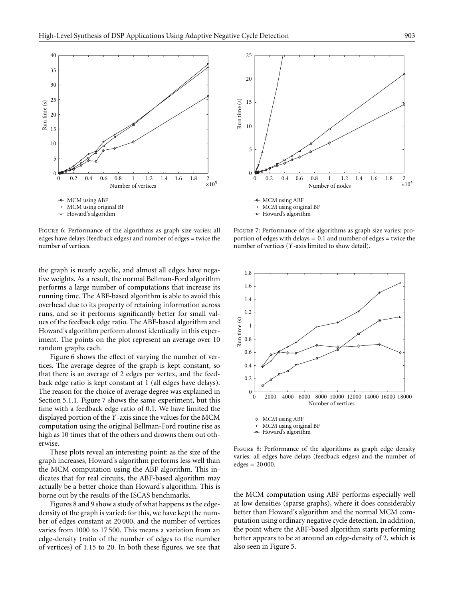

<span id="page-10-0"></span>Figure 6: Performance of the algorithms as graph size varies: all edges have delays (feedback edges) and number of edges = twice the number of vertices.

the graph is nearly acyclic, and almost all edges have negative weights. As a result, the normal Bellman-Ford algorithm performs a large number of computations that increase its running time. The ABF-based algorithm is able to avoid this overhead due to its property of retaining information across runs, and so it performs significantly better for small values of the feedback edge ratio. The ABF-based algorithm and Howard's algorithm perform almost identically in this experiment. The points on the plot represent an average over 10 random graphs each.

[Figure 6](#page-10-0) shows the effect of varying the number of vertices. The average degree of the graph is kept constant, so that there is an average of 2 edges per vertex, and the feedback edge ratio is kept constant at 1 (all edges have delays). The reason for the choice of average degree was explained in [Section 5.1.1.](#page-8-1) [Figure 7](#page-10-1) shows the same experiment, but this time with a feedback edge ratio of 0.1. We have limited the displayed portion of the *Y*-axis since the values for the MCM computation using the original Bellman-Ford routine rise as high as 10 times that of the others and drowns them out otherwise.

These plots reveal an interesting point: as the size of the graph increases, Howard's algorithm performs less well than the MCM computation using the ABF algorithm. This indicates that for real circuits, the ABF-based algorithm may actually be a better choice than Howard's algorithm. This is borne out by the results of the ISCAS benchmarks.

Figures [8](#page-10-2) and [9](#page-11-1) show a study of what happens as the edgedensity of the graph is varied: for this, we have kept the number of edges constant at 20 000, and the number of vertices varies from 1000 to 17 500. This means a variation from an edge-density (ratio of the number of edges to the number of vertices) of 1.15 to 20. In both these figures, we see that



<span id="page-10-1"></span>Figure 7: Performance of the algorithms as graph size varies: proportion of edges with delays = 0*.*1 and number of edges = twice the number of vertices (*Y*-axis limited to show detail).



<span id="page-10-2"></span>FIGURE 8: Performance of the algorithms as graph edge density varies: all edges have delays (feedback edges) and the number of edges = 20 000.

the MCM computation using ABF performs especially well at low densities (sparse graphs), where it does considerably better than Howard's algorithm and the normal MCM computation using ordinary negative cycle detection. In addition, the point where the ABF-based algorithm starts performing better appears to be at around an edge-density of 2, which is also seen in [Figure 5.](#page-9-1)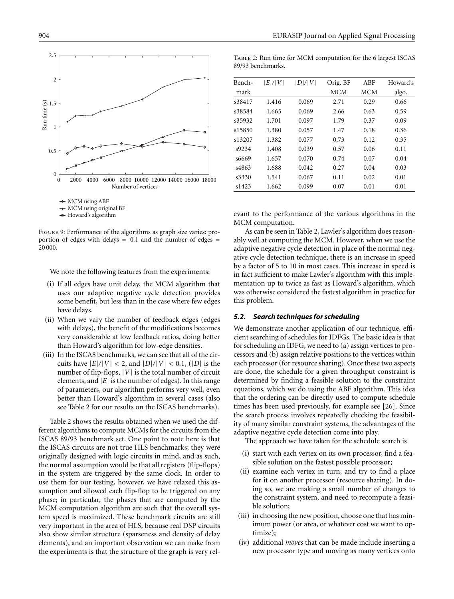

 $\div$  MCM using ABF

MCM using original BF

<sup>+</sup>Howard's algorithm

<span id="page-11-1"></span>FIGURE 9: Performance of the algorithms as graph size varies: proportion of edges with delays = 0*.*1 and the number of edges = 20 000.

We note the following features from the experiments:

- (i) If all edges have unit delay, the MCM algorithm that uses our adaptive negative cycle detection provides some benefit, but less than in the case where few edges have delays.
- (ii) When we vary the number of feedback edges (edges with delays), the benefit of the modifications becomes very considerable at low feedback ratios, doing better than Howard's algorithm for low-edge densities.
- (iii) In the ISCAS benchmarks, we can see that all of the circuits have  $|E|/|V| < 2$ , and  $|D|/|V| < 0.1$ ,  $(|D|$  is the number of flip-flops, |*V*| is the total number of circuit elements, and  $|E|$  is the number of edges). In this range of parameters, our algorithm performs very well, even better than Howard's algorithm in several cases (also see [Table 2](#page-11-2) for our results on the ISCAS benchmarks).

[Table 2](#page-11-2) shows the results obtained when we used the different algorithms to compute MCMs for the circuits from the ISCAS 89/93 benchmark set. One point to note here is that the ISCAS circuits are not true HLS benchmarks; they were originally designed with logic circuits in mind, and as such, the normal assumption would be that all registers (flip-flops) in the system are triggered by the same clock. In order to use them for our testing, however, we have relaxed this assumption and allowed each flip-flop to be triggered on any phase; in particular, the phases that are computed by the MCM computation algorithm are such that the overall system speed is maximized. These benchmark circuits are still very important in the area of HLS, because real DSP circuits also show similar structure (sparseness and density of delay elements), and an important observation we can make from the experiments is that the structure of the graph is very rel-

| Bench- | E / V | D / V | Orig. BF   | ABF        | Howard's |
|--------|-------|-------|------------|------------|----------|
| mark   |       |       | <b>MCM</b> | <b>MCM</b> | algo.    |
| s38417 | 1.416 | 0.069 | 2.71       | 0.29       | 0.66     |
| s38584 | 1.665 | 0.069 | 2.66       | 0.63       | 0.59     |
| s35932 | 1.701 | 0.097 | 1.79       | 0.37       | 0.09     |
| s15850 | 1.380 | 0.057 | 1.47       | 0.18       | 0.36     |
| s13207 | 1.382 | 0.077 | 0.73       | 0.12       | 0.35     |
| s9234  | 1.408 | 0.039 | 0.57       | 0.06       | 0.11     |
| \$6669 | 1.657 | 0.070 | 0.74       | 0.07       | 0.04     |
| s4863  | 1.688 | 0.042 | 0.27       | 0.04       | 0.03     |
| s3330  | 1.541 | 0.067 | 0.11       | 0.02       | 0.01     |
| s1423  | 1.662 | 0.099 | 0.07       | 0.01       | 0.01     |
|        |       |       |            |            |          |

<span id="page-11-2"></span>Table 2: Run time for MCM computation for the 6 largest ISCAS 89/93 benchmarks.

evant to the performance of the various algorithms in the MCM computation.

As can be seen in [Table 2,](#page-11-2) Lawler's algorithm does reasonably well at computing the MCM. However, when we use the adaptive negative cycle detection in place of the normal negative cycle detection technique, there is an increase in speed by a factor of 5 to 10 in most cases. This increase in speed is in fact sufficient to make Lawler's algorithm with this implementation up to twice as fast as Howard's algorithm, which was otherwise considered the fastest algorithm in practice for this problem.

# <span id="page-11-0"></span>*5.2. Search techniques for scheduling*

We demonstrate another application of our technique, efficient searching of schedules for IDFGs. The basic idea is that for scheduling an IDFG, we need to (a) assign vertices to processors and (b) assign relative positions to the vertices within each processor (for resource sharing). Once these two aspects are done, the schedule for a given throughput constraint is determined by finding a feasible solution to the constraint equations, which we do using the ABF algorithm. This idea that the ordering can be directly used to compute schedule times has been used previously, for example see [\[26\]](#page-13-25). Since the search process involves repeatedly checking the feasibility of many similar constraint systems, the advantages of the adaptive negative cycle detection come into play.

The approach we have taken for the schedule search is

- (i) start with each vertex on its own processor, find a feasible solution on the fastest possible processor;
- (ii) examine each vertex in turn, and try to find a place for it on another processor (resource sharing). In doing so, we are making a small number of changes to the constraint system, and need to recompute a feasible solution;
- (iii) in choosing the new position, choose one that has minimum power (or area, or whatever cost we want to optimize);
- (iv) additional *moves* that can be made include inserting a new processor type and moving as many vertices onto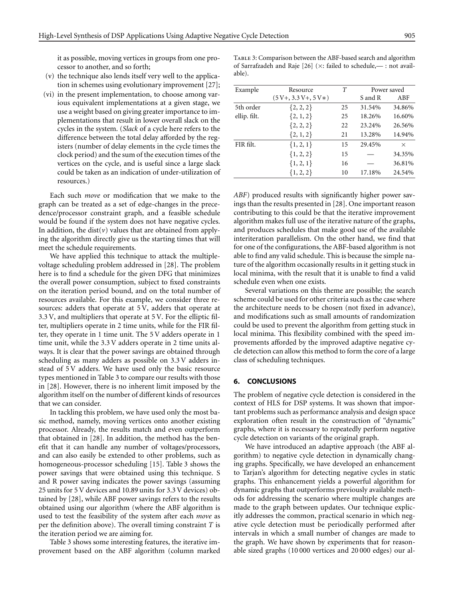it as possible, moving vertices in groups from one processor to another, and so forth;

- (v) the technique also lends itself very well to the application in schemes using evolutionary improvement [\[27\]](#page-14-0);
- (vi) in the present implementation, to choose among various equivalent implementations at a given stage, we use a weight based on giving greater importance to implementations that result in lower overall slack on the cycles in the system. (*Slack* of a cycle here refers to the difference between the total delay afforded by the registers (number of delay elements in the cycle times the clock period) and the sum of the execution times of the vertices on the cycle, and is useful since a large slack could be taken as an indication of under-utilization of resources.)

Each such *move* or modification that we make to the graph can be treated as a set of edge-changes in the precedence/processor constraint graph, and a feasible schedule would be found if the system does not have negative cycles. In addition, the dist( $\nu$ ) values that are obtained from applying the algorithm directly give us the starting times that will meet the schedule requirements.

We have applied this technique to attack the multiplevoltage scheduling problem addressed in [\[28](#page-14-1)]. The problem here is to find a schedule for the given DFG that minimizes the overall power consumption, subject to fixed constraints on the iteration period bound, and on the total number of resources available. For this example, we consider three resources: adders that operate at 5 V, adders that operate at 3.3 V, and multipliers that operate at 5 V. For the elliptic filter, multipliers operate in 2 time units, while for the FIR filter, they operate in 1 time unit. The 5 V adders operate in 1 time unit, while the 3.3 V adders operate in 2 time units always. It is clear that the power savings are obtained through scheduling as many adders as possible on 3.3 V adders instead of 5 V adders. We have used only the basic resource types mentioned in [Table 3](#page-12-0) to compare our results with those in [\[28](#page-14-1)]. However, there is no inherent limit imposed by the algorithm itself on the number of different kinds of resources that we can consider.

In tackling this problem, we have used only the most basic method, namely, moving vertices onto another existing processor. Already, the results match and even outperform that obtained in [\[28\]](#page-14-1). In addition, the method has the benefit that it can handle any number of voltages/processors, and can also easily be extended to other problems, such as homogeneous-processor scheduling [\[15\]](#page-13-14). [Table 3](#page-12-0) shows the power savings that were obtained using this technique. S and R power saving indicates the power savings (assuming 25 units for 5 V devices and 10.89 units for 3.3 V devices) obtained by [\[28\]](#page-14-1), while ABF power savings refers to the results obtained using our algorithm (where the ABF algorithm is used to test the feasibility of the system after each *move* as per the definition above). The overall timing constraint *T* is the iteration period we are aiming for.

[Table 3](#page-12-0) shows some interesting features, the iterative improvement based on the ABF algorithm (column marked

<span id="page-12-0"></span>Table 3: Comparison between the ABF-based search and algorithm of Sarrafzadeh and Raje [\[26\]](#page-13-25) (×: failed to schedule,— : not available).

| Example      | Resource               | T  | Power saved |          |
|--------------|------------------------|----|-------------|----------|
|              | $(5 V+, 3.3 V+, 5 V*)$ |    | S and R     | ABF      |
| 5th order    | ${2, 2, 2}$            | 25 | 31.54%      | 34.86%   |
| ellip. filt. | $\{2, 1, 2\}$          | 25 | 18.26%      | 16.60%   |
|              | ${2, 2, 2}$            | 22 | 23.24%      | 26.56%   |
|              | $\{2, 1, 2\}$          | 21 | 13.28%      | 14.94%   |
| FIR filt.    | $\{1, 2, 1\}$          | 15 | 29.45%      | $\times$ |
|              | $\{1, 2, 2\}$          | 15 |             | 34.35%   |
|              | ${1, 2, 1}$            | 16 |             | 36.81%   |
|              | $\{1, 2, 2\}$          | 10 | 17.18%      | 24.54%   |

*ABF*) produced results with significantly higher power savings than the results presented in [\[28](#page-14-1)]. One important reason contributing to this could be that the iterative improvement algorithm makes full use of the iterative nature of the graphs, and produces schedules that make good use of the available interiteration parallelism. On the other hand, we find that for one of the configurations, the ABF-based algorithm is not able to find any valid schedule. This is because the simple nature of the algorithm occasionally results in it getting stuck in local minima, with the result that it is unable to find a valid schedule even when one exists.

Several variations on this theme are possible; the search scheme could be used for other criteria such as the case where the architecture needs to be chosen (not fixed in advance), and modifications such as small amounts of randomization could be used to prevent the algorithm from getting stuck in local minima. This flexibility combined with the speed improvements afforded by the improved adaptive negative cycle detection can allow this method to form the core of a large class of scheduling techniques.

# **6. CONCLUSIONS**

The problem of negative cycle detection is considered in the context of HLS for DSP systems. It was shown that important problems such as performance analysis and design space exploration often result in the construction of "dynamic" graphs, where it is necessary to repeatedly perform negative cycle detection on variants of the original graph.

We have introduced an adaptive approach (the ABF algorithm) to negative cycle detection in dynamically changing graphs. Specifically, we have developed an enhancement to Tarjan's algorithm for detecting negative cycles in static graphs. This enhancement yields a powerful algorithm for dynamic graphs that outperforms previously available methods for addressing the scenario where multiple changes are made to the graph between updates. Our technique explicitly addresses the common, practical scenario in which negative cycle detection must be periodically performed after intervals in which a small number of changes are made to the graph. We have shown by experiments that for reasonable sized graphs (10 000 vertices and 20 000 edges) our al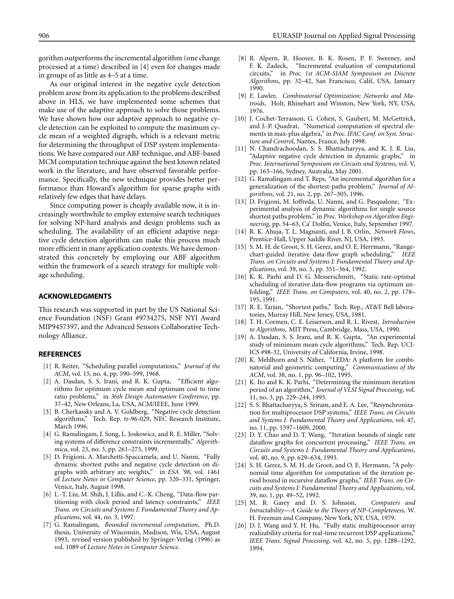gorithm outperforms the incremental algorithm (one change processed at a time) described in [\[4\]](#page-13-3) even for changes made in groups of as little as 4–5 at a time.

As our original interest in the negative cycle detection problem arose from its application to the problems described above in HLS, we have implemented some schemes that make use of the adaptive approach to solve those problems. We have shown how our adaptive approach to negative cycle detection can be exploited to compute the maximum cycle mean of a weighted digraph, which is a relevant metric for determining the throughput of DSP system implementations. We have compared our ABF technique, and ABF-based MCM computation technique against the best known related work in the literature, and have observed favorable performance. Specifically, the new technique provides better performance than Howard's algorithm for sparse graphs with relatively few edges that have delays.

Since computing power is cheaply available now, it is increasingly worthwhile to employ extensive search techniques for solving NP-hard analysis and design problems such as scheduling. The availability of an efficient adaptive negative cycle detection algorithm can make this process much more efficient in many application contexts. We have demonstrated this concretely by employing our ABF algorithm within the framework of a search strategy for multiple voltage scheduling.

## **ACKNOWLEDGMENTS**

This research was supported in part by the US National Science Foundation (NSF) Grant #9734275, NSF NYI Award MIP9457397, and the Advanced Sensors Collaborative Technology Alliance.

# <span id="page-13-0"></span>**REFERENCES**

- [1] R. Reiter, "Scheduling parallel computations," *Journal of the ACM*, vol. 15, no. 4, pp. 590–599, 1968.
- <span id="page-13-1"></span>[2] A. Dasdan, S. S. Irani, and R. K. Gupta, "Efficient algorithms for optimum cycle mean and optimum cost to time ratio problems," in *36th Design Automation Conference*, pp. 37–42, New Orleans, La, USA, ACM/IEEE, June 1999.
- <span id="page-13-2"></span>[3] B. Cherkassky and A. V. Goldberg, "Negative cycle detection algorithms," Tech. Rep. tr-96-029, NEC Research Institute, March 1996.
- <span id="page-13-3"></span>[4] G. Ramalingam, J. Song, L. Joskowicz, and R. E. Miller, "Solving systems of difference constraints incrementally," *Algorithmica*, vol. 23, no. 3, pp. 261–275, 1999.
- <span id="page-13-4"></span>[5] D. Frigioni, A. Marchetti-Spaccamela, and U. Nanni, "Fully dynamic shortest paths and negative cycle detection on digraphs with arbitrary arc weights," in *ESA '98*, vol. 1461 of *Lecture Notes in Computer Science*, pp. 320–331, Springer, Venice, Italy, August 1998.
- <span id="page-13-5"></span>[6] L.-T. Liu, M. Shih, J. Lillis, and C.-K. Cheng, "Data-flow partitioning with clock period and latency constraints," *IEEE Trans. on Circuits and Systems I: Fundamental Theory and Applications*, vol. 44, no. 3, 1997.
- <span id="page-13-6"></span>[7] G. Ramalingam, *Bounded incremental computation*, Ph.D. thesis, University of Wisconsin, Madison, Wis, USA, August 1993, revised version published by Springer-Verlag (1996) as vol. 1089 of *Lecture Notes in Computer Science*.
- <span id="page-13-7"></span>[8] B. Alpern, R. Hoover, B. K. Rosen, P. F. Sweeney, and F. K. Zadeck, "Incremental evaluation of computational circuits," in *Proc. 1st ACM-SIAM Symposium on Discrete Algorithms*, pp. 32–42, San Francisco, Calif, USA, January 1990.
- <span id="page-13-8"></span>[9] E. Lawler, *Combinatorial Optimization: Networks and Matroids*, Holt, Rhinehart and Winston, New York, NY, USA, 1976.
- <span id="page-13-9"></span>[10] J. Cochet-Terrasson, G. Cohen, S. Gaubert, M. McGettrick, and J.-P. Quadrat, "Numerical computation of spectral elements in max-plus algebra," in *Proc. IFAC Conf. on Syst. Structure and Control*, Nantes, France, July 1998.
- <span id="page-13-10"></span>[11] N. Chandrachoodan, S. S. Bhattacharyya, and K. J. R. Liu, "Adaptive negative cycle detection in dynamic graphs," in *Proc. International Symposium on Circuits and Systems*, vol. V, pp. 163–166, Sydney, Australia, May 2001.
- <span id="page-13-11"></span>[12] G. Ramalingam and T. Reps, "An incremental algorithm for a generalization of the shortest-paths problem," *Journal of Algorithms*, vol. 21, no. 2, pp. 267–305, 1996.
- <span id="page-13-12"></span>[13] D. Frigioni, M. Ioffreda, U. Nanni, and G. Pasqualone, "Experimental analysis of dynamic algorithms for single source shortest paths problem," in *Proc. Workshop on Algorithm Engineering*, pp. 54–63, Ca' Dolfin, Venice, Italy, September 1997.
- <span id="page-13-13"></span>[14] R. K. Ahuja, T. L. Magnanti, and J. B. Orlin, *Network Flows*, Prentice-Hall, Upper Saddle River, NJ, USA, 1993.
- <span id="page-13-14"></span>[15] S. M. H. de Groot, S. H. Gerez, and O. E. Herrmann, "Rangechart-guided iterative data-flow graph scheduling," *IEEE Trans. on Circuits and Systems I: Fundamental Theory and Applications*, vol. 39, no. 5, pp. 351–364, 1992.
- <span id="page-13-15"></span>[16] K. K. Parhi and D. G. Messerschmitt, "Static rate-optimal scheduling of iterative data-flow programs via optimum unfolding," *IEEE Trans. on Computers*, vol. 40, no. 2, pp. 178– 195, 1991.
- <span id="page-13-16"></span>[17] R. E. Tarjan, "Shortest paths," Tech. Rep., AT&T Bell laboratories, Murray Hill, New Jersey, USA, 1981.
- <span id="page-13-17"></span>[18] T. H. Cormen, C. E. Leiserson, and R. L. Rivest, *Introduction to Algorithms*, MIT Press, Cambridge, Mass, USA, 1990.
- <span id="page-13-18"></span>[19] A. Dasdan, S. S. Irani, and R. K. Gupta, "An experimental study of minimum mean cycle algorithms," Tech. Rep. UCI-ICS #98-32, University of California, Irvine, 1998.
- <span id="page-13-19"></span>[20] K. Mehlhorn and S. Näher, "LEDA: A platform for combinatorial and geometric computing," *Communications of the ACM*, vol. 38, no. 1, pp. 96–102, 1995.
- <span id="page-13-20"></span>[21] K. Ito and K. K. Parhi, "Determining the minimum iteration period of an algorithm," *Journal of VLSI Signal Processing*, vol. 11, no. 3, pp. 229–244, 1995.
- <span id="page-13-21"></span>[22] S. S. Bhattacharyya, S. Sriram, and E. A. Lee, "Resynchronization for multiprocessor DSP systems," *IEEE Trans. on Circuits and Systems I: Fundamental Theory and Applications*, vol. 47, no. 11, pp. 1597–1609, 2000.
- <span id="page-13-22"></span>[23] D. Y. Chao and D. T. Wang, "Iteration bounds of single rate dataflow graphs for concurrent processing," *IEEE Trans. on Circuits and Systems I: Fundamental Theory and Applications*, vol. 40, no. 9, pp. 629–634, 1993.
- <span id="page-13-23"></span>[24] S. H. Gerez, S. M. H. de Groot, and O. E. Hermann, "A polynomial time algorithm for computation of the iteration period bound in recursive dataflow graphs," *IEEE Trans. on Circuits and Systems I: Fundamental Theory and Applications*, vol. 39, no. 1, pp. 49–52, 1992.
- <span id="page-13-24"></span>[25] M. R. Garey and D. S. Johnson, *Computers and Intractability—A Guide to the Theory of NP-Completeness*, W. H. Freeman and Company, New York, NY, USA, 1979.
- <span id="page-13-25"></span>[26] D. J. Wang and Y. H. Hu, "Fully static multiprocessor array realizability criteria for real-time recurrent DSP applications," *IEEE Trans. Signal Processing*, vol. 42, no. 5, pp. 1288–1292, 1994.